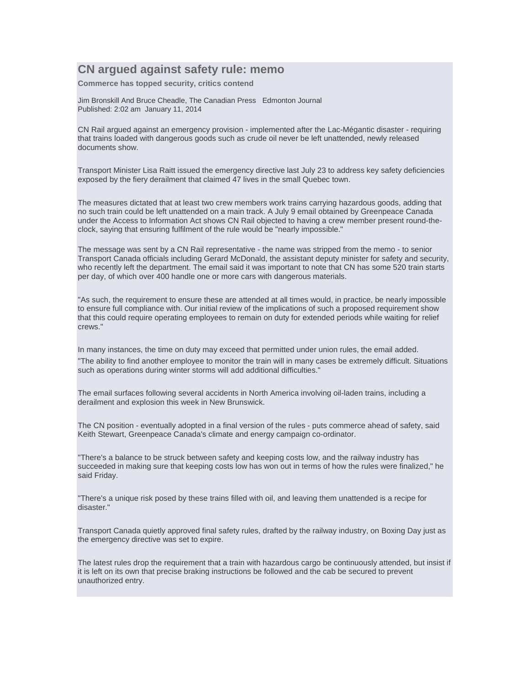## **CN argued against safety rule: memo**

**Commerce has topped security, critics contend** 

Jim Bronskill And Bruce Cheadle, The Canadian Press Edmonton Journal Published: 2:02 am January 11, 2014

CN Rail argued against an emergency provision - implemented after the Lac-Mégantic disaster - requiring that trains loaded with dangerous goods such as crude oil never be left unattended, newly released documents show.

Transport Minister Lisa Raitt issued the emergency directive last July 23 to address key safety deficiencies exposed by the fiery derailment that claimed 47 lives in the small Quebec town.

The measures dictated that at least two crew members work trains carrying hazardous goods, adding that no such train could be left unattended on a main track. A July 9 email obtained by Greenpeace Canada under the Access to Information Act shows CN Rail objected to having a crew member present round-theclock, saying that ensuring fulfilment of the rule would be "nearly impossible."

The message was sent by a CN Rail representative - the name was stripped from the memo - to senior Transport Canada officials including Gerard McDonald, the assistant deputy minister for safety and security, who recently left the department. The email said it was important to note that CN has some 520 train starts per day, of which over 400 handle one or more cars with dangerous materials.

"As such, the requirement to ensure these are attended at all times would, in practice, be nearly impossible to ensure full compliance with. Our initial review of the implications of such a proposed requirement show that this could require operating employees to remain on duty for extended periods while waiting for relief crews."

In many instances, the time on duty may exceed that permitted under union rules, the email added. "The ability to find another employee to monitor the train will in many cases be extremely difficult. Situations such as operations during winter storms will add additional difficulties."

The email surfaces following several accidents in North America involving oil-laden trains, including a derailment and explosion this week in New Brunswick.

The CN position - eventually adopted in a final version of the rules - puts commerce ahead of safety, said Keith Stewart, Greenpeace Canada's climate and energy campaign co-ordinator.

"There's a balance to be struck between safety and keeping costs low, and the railway industry has succeeded in making sure that keeping costs low has won out in terms of how the rules were finalized," he said Friday.

"There's a unique risk posed by these trains filled with oil, and leaving them unattended is a recipe for disaster."

Transport Canada quietly approved final safety rules, drafted by the railway industry, on Boxing Day just as the emergency directive was set to expire.

The latest rules drop the requirement that a train with hazardous cargo be continuously attended, but insist if it is left on its own that precise braking instructions be followed and the cab be secured to prevent unauthorized entry.